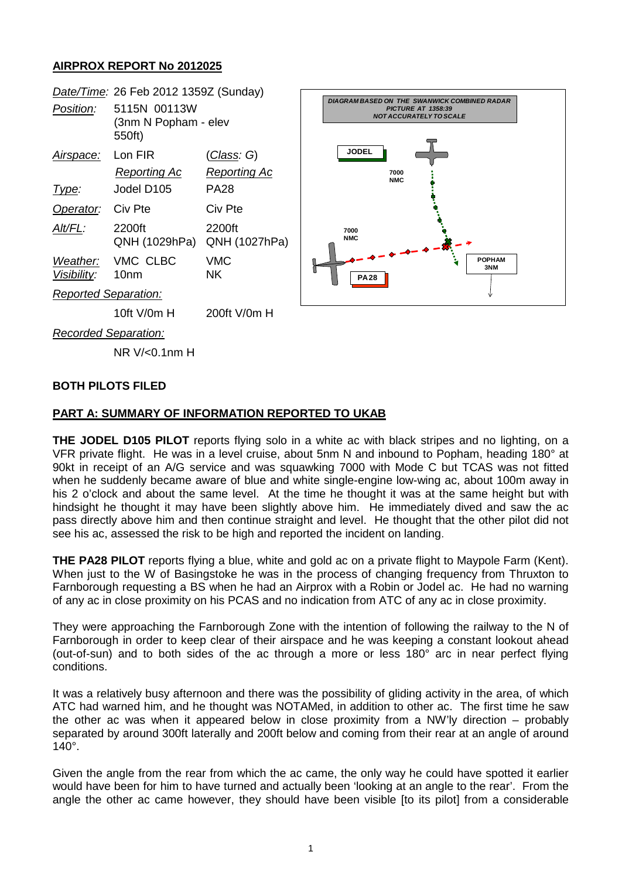# **AIRPROX REPORT No 2012025**

|                             | Date/Time: 26 Feb 2012 1359Z (Sunday)          |                         |                                                                                                                    |  |
|-----------------------------|------------------------------------------------|-------------------------|--------------------------------------------------------------------------------------------------------------------|--|
| Position:                   | 5115N 00113W<br>(3nm N Popham - elev<br>550ft) |                         | <b>DIAGRAM BASED ON THE SWANWICK COMBINED RADAR</b><br><b>PICTURE AT 1358:39</b><br><b>NOT ACCURATELY TO SCALE</b> |  |
| Airspace:                   | Lon FIR                                        | <u>(Class</u> : G)      | <b>JODEL</b>                                                                                                       |  |
|                             | Reporting Ac                                   | <b>Reporting Ac</b>     | 7000<br><b>NMC</b>                                                                                                 |  |
| Type:                       | Jodel D105                                     | <b>PA28</b>             |                                                                                                                    |  |
| Operator:                   | Civ Pte                                        | Civ Pte                 |                                                                                                                    |  |
| Alt/FL:                     | 2200ft<br>QNH (1029hPa)                        | 2200ft<br>QNH (1027hPa) | 7000<br><b>NMC</b>                                                                                                 |  |
| Weather:<br>Visibility:     | VMC CLBC<br>10 <sub>nm</sub>                   | <b>VMC</b><br><b>NK</b> | <b>POPHAM</b><br>3NM<br><b>PA28</b>                                                                                |  |
| <b>Reported Separation:</b> |                                                |                         |                                                                                                                    |  |
|                             | 10ft V/0m H                                    | 200ft V/0m H            |                                                                                                                    |  |
| <b>Recorded Separation:</b> |                                                |                         |                                                                                                                    |  |
|                             | NR V/<0.1nm H                                  |                         |                                                                                                                    |  |

#### **BOTH PILOTS FILED**

#### **PART A: SUMMARY OF INFORMATION REPORTED TO UKAB**

**THE JODEL D105 PILOT** reports flying solo in a white ac with black stripes and no lighting, on a VFR private flight. He was in a level cruise, about 5nm N and inbound to Popham, heading 180° at 90kt in receipt of an A/G service and was squawking 7000 with Mode C but TCAS was not fitted when he suddenly became aware of blue and white single-engine low-wing ac, about 100m away in his 2 o'clock and about the same level. At the time he thought it was at the same height but with hindsight he thought it may have been slightly above him. He immediately dived and saw the ac pass directly above him and then continue straight and level. He thought that the other pilot did not see his ac, assessed the risk to be high and reported the incident on landing.

**THE PA28 PILOT** reports flying a blue, white and gold ac on a private flight to Maypole Farm (Kent). When just to the W of Basingstoke he was in the process of changing frequency from Thruxton to Farnborough requesting a BS when he had an Airprox with a Robin or Jodel ac. He had no warning of any ac in close proximity on his PCAS and no indication from ATC of any ac in close proximity.

They were approaching the Farnborough Zone with the intention of following the railway to the N of Farnborough in order to keep clear of their airspace and he was keeping a constant lookout ahead (out-of-sun) and to both sides of the ac through a more or less 180° arc in near perfect flying conditions.

It was a relatively busy afternoon and there was the possibility of gliding activity in the area, of which ATC had warned him, and he thought was NOTAMed, in addition to other ac. The first time he saw the other ac was when it appeared below in close proximity from a NW'ly direction – probably separated by around 300ft laterally and 200ft below and coming from their rear at an angle of around 140°.

Given the angle from the rear from which the ac came, the only way he could have spotted it earlier would have been for him to have turned and actually been 'looking at an angle to the rear'. From the angle the other ac came however, they should have been visible [to its pilot] from a considerable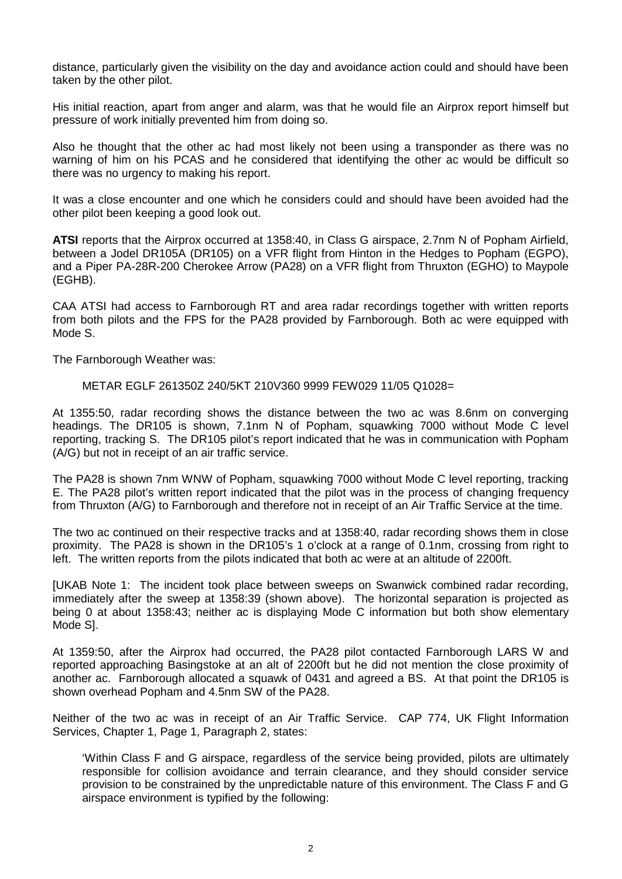distance, particularly given the visibility on the day and avoidance action could and should have been taken by the other pilot.

His initial reaction, apart from anger and alarm, was that he would file an Airprox report himself but pressure of work initially prevented him from doing so.

Also he thought that the other ac had most likely not been using a transponder as there was no warning of him on his PCAS and he considered that identifying the other ac would be difficult so there was no urgency to making his report.

It was a close encounter and one which he considers could and should have been avoided had the other pilot been keeping a good look out.

**ATSI** reports that the Airprox occurred at 1358:40, in Class G airspace, 2.7nm N of Popham Airfield, between a Jodel DR105A (DR105) on a VFR flight from Hinton in the Hedges to Popham (EGPO), and a Piper PA-28R-200 Cherokee Arrow (PA28) on a VFR flight from Thruxton (EGHO) to Maypole (EGHB).

CAA ATSI had access to Farnborough RT and area radar recordings together with written reports from both pilots and the FPS for the PA28 provided by Farnborough. Both ac were equipped with Mode S.

The Farnborough Weather was:

METAR EGLF 261350Z 240/5KT 210V360 9999 FEW029 11/05 Q1028=

At 1355:50, radar recording shows the distance between the two ac was 8.6nm on converging headings. The DR105 is shown, 7.1nm N of Popham, squawking 7000 without Mode C level reporting, tracking S. The DR105 pilot's report indicated that he was in communication with Popham (A/G) but not in receipt of an air traffic service.

The PA28 is shown 7nm WNW of Popham, squawking 7000 without Mode C level reporting, tracking E. The PA28 pilot's written report indicated that the pilot was in the process of changing frequency from Thruxton (A/G) to Farnborough and therefore not in receipt of an Air Traffic Service at the time.

The two ac continued on their respective tracks and at 1358:40, radar recording shows them in close proximity. The PA28 is shown in the DR105's 1 o'clock at a range of 0.1nm, crossing from right to left. The written reports from the pilots indicated that both ac were at an altitude of 2200ft.

[UKAB Note 1: The incident took place between sweeps on Swanwick combined radar recording, immediately after the sweep at 1358:39 (shown above). The horizontal separation is projected as being 0 at about 1358:43; neither ac is displaying Mode C information but both show elementary Mode S].

At 1359:50, after the Airprox had occurred, the PA28 pilot contacted Farnborough LARS W and reported approaching Basingstoke at an alt of 2200ft but he did not mention the close proximity of another ac. Farnborough allocated a squawk of 0431 and agreed a BS. At that point the DR105 is shown overhead Popham and 4.5nm SW of the PA28.

Neither of the two ac was in receipt of an Air Traffic Service. CAP 774, UK Flight Information Services, Chapter 1, Page 1, Paragraph 2, states:

'Within Class F and G airspace, regardless of the service being provided, pilots are ultimately responsible for collision avoidance and terrain clearance, and they should consider service provision to be constrained by the unpredictable nature of this environment. The Class F and G airspace environment is typified by the following: